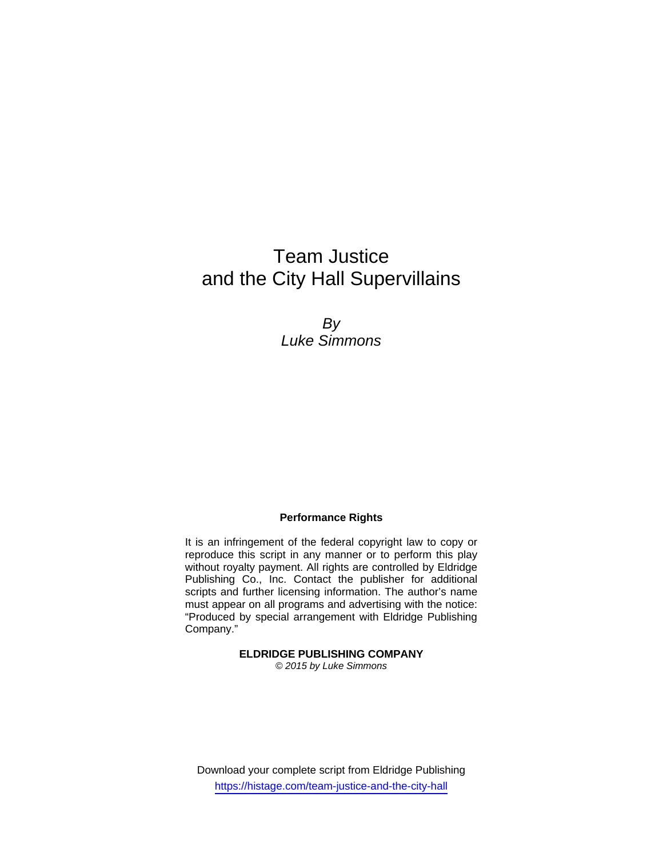# Team Justice and the City Hall Supervillains

*By Luke Simmons* 

#### **Performance Rights**

It is an infringement of the federal copyright law to copy or reproduce this script in any manner or to perform this play without royalty payment. All rights are controlled by Eldridge Publishing Co., Inc. Contact the publisher for additional scripts and further licensing information. The author's name must appear on all programs and advertising with the notice: "Produced by special arrangement with Eldridge Publishing Company."

> **ELDRIDGE PUBLISHING COMPANY**  *© 2015 by Luke Simmons*

Download your complete script from Eldridge Publishing https://histage.com/team-justice-and-the-city-hall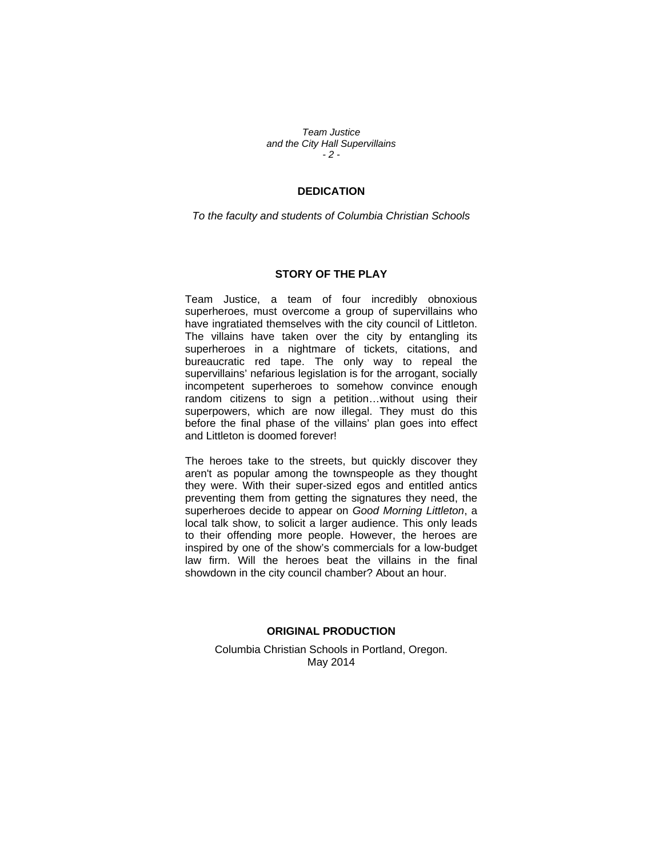*Team Justice and the City Hall Supervillains - 2 -* 

#### **DEDICATION**

*To the faculty and students of Columbia Christian Schools* 

#### **STORY OF THE PLAY**

Team Justice, a team of four incredibly obnoxious superheroes, must overcome a group of supervillains who have ingratiated themselves with the city council of Littleton. The villains have taken over the city by entangling its superheroes in a nightmare of tickets, citations, and bureaucratic red tape. The only way to repeal the supervillains' nefarious legislation is for the arrogant, socially incompetent superheroes to somehow convince enough random citizens to sign a petition…without using their superpowers, which are now illegal. They must do this before the final phase of the villains' plan goes into effect and Littleton is doomed forever!

The heroes take to the streets, but quickly discover they aren't as popular among the townspeople as they thought they were. With their super-sized egos and entitled antics preventing them from getting the signatures they need, the superheroes decide to appear on *Good Morning Littleton*, a local talk show, to solicit a larger audience. This only leads to their offending more people. However, the heroes are inspired by one of the show's commercials for a low-budget law firm. Will the heroes beat the villains in the final showdown in the city council chamber? About an hour.

#### **ORIGINAL PRODUCTION**

Columbia Christian Schools in Portland, Oregon. May 2014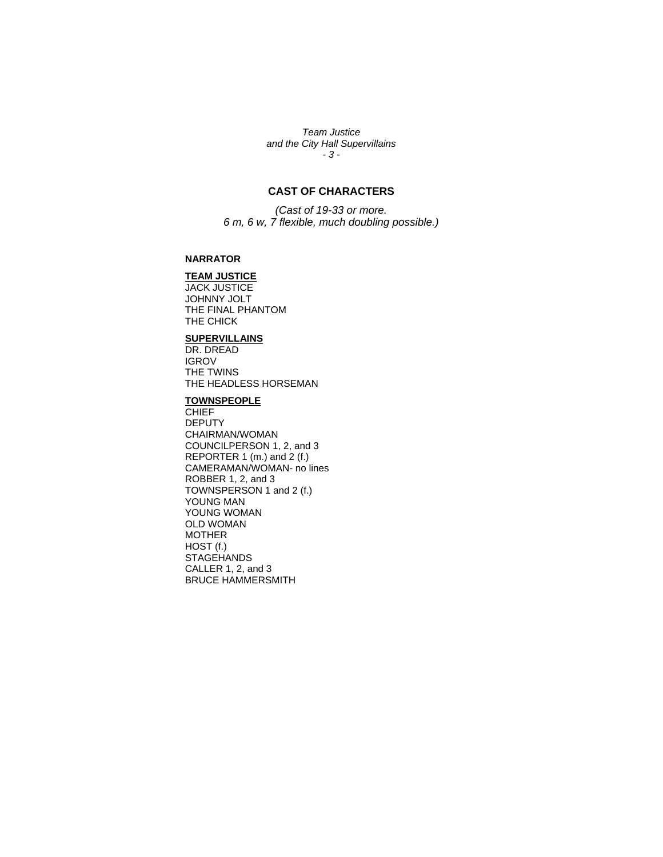*Team Justice and the City Hall Supervillains - 3 -* 

## **CAST OF CHARACTERS**

*(Cast of 19-33 or more. 6 m, 6 w, 7 flexible, much doubling possible.)* 

#### **NARRATOR**

#### **TEAM JUSTICE**

JACK JUSTICE JOHNNY JOLT THE FINAL PHANTOM THE CHICK

#### **SUPERVILLAINS**

DR. DREAD IGROV THE TWINS THE HEADLESS HORSEMAN

#### **TOWNSPEOPLE**

**CHIEF** DEPUTY CHAIRMAN/WOMAN COUNCILPERSON 1, 2, and 3 REPORTER 1 (m.) and 2 (f.) CAMERAMAN/WOMAN- no lines ROBBER 1, 2, and 3 TOWNSPERSON 1 and 2 (f.) YOUNG MAN YOUNG WOMAN OLD WOMAN MOTHER HOST (f.) **STAGEHANDS** CALLER 1, 2, and 3 BRUCE HAMMERSMITH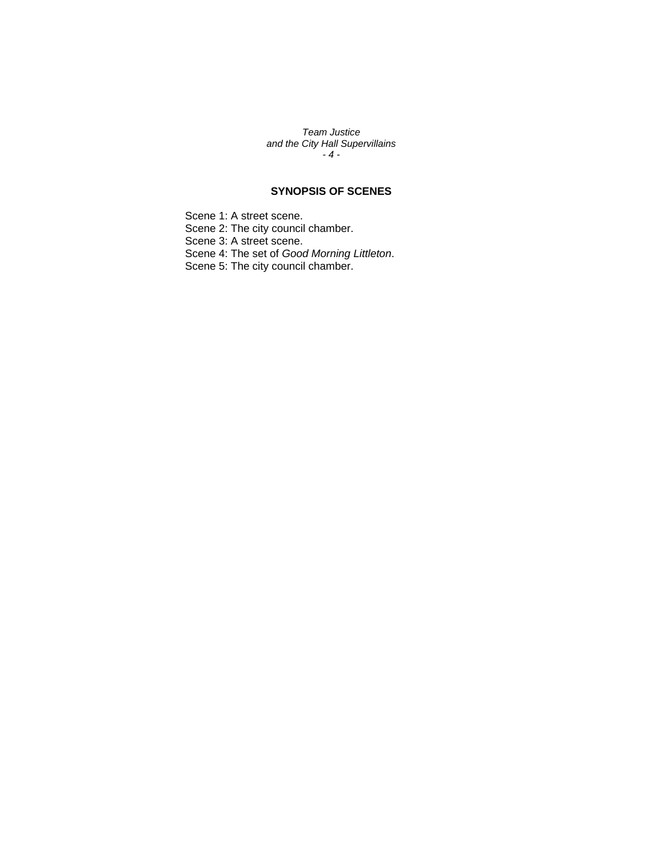*Team Justice and the City Hall Supervillains - 4 -* 

### **SYNOPSIS OF SCENES**

Scene 1: A street scene. Scene 2: The city council chamber. Scene 3: A street scene. Scene 4: The set of *Good Morning Littleton*. Scene 5: The city council chamber.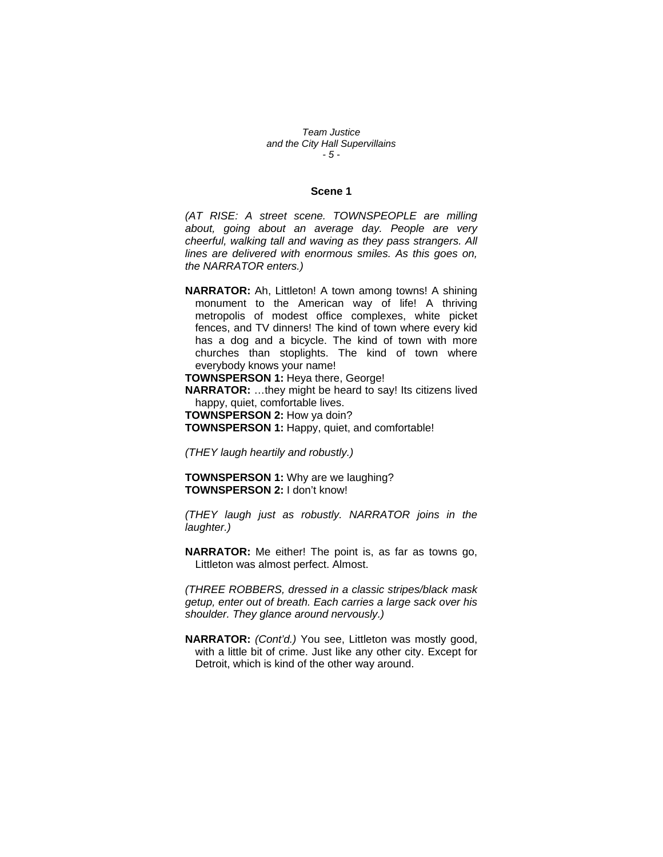*Team Justice and the City Hall Supervillains - 5 -* 

#### **Scene 1**

*(AT RISE: A street scene. TOWNSPEOPLE are milling about, going about an average day. People are very cheerful, walking tall and waving as they pass strangers. All lines are delivered with enormous smiles. As this goes on, the NARRATOR enters.)* 

**NARRATOR:** Ah, Littleton! A town among towns! A shining monument to the American way of life! A thriving metropolis of modest office complexes, white picket fences, and TV dinners! The kind of town where every kid has a dog and a bicycle. The kind of town with more churches than stoplights. The kind of town where everybody knows your name!

**TOWNSPERSON 1:** Heya there, George!

**NARRATOR:** …they might be heard to say! Its citizens lived happy, quiet, comfortable lives.

**TOWNSPERSON 2:** How ya doin?

**TOWNSPERSON 1:** Happy, quiet, and comfortable!

*(THEY laugh heartily and robustly.)* 

**TOWNSPERSON 1:** Why are we laughing? **TOWNSPERSON 2:** I don't know!

*(THEY laugh just as robustly. NARRATOR joins in the laughter.)* 

**NARRATOR:** Me either! The point is, as far as towns go, Littleton was almost perfect. Almost.

*(THREE ROBBERS, dressed in a classic stripes/black mask getup, enter out of breath. Each carries a large sack over his shoulder. They glance around nervously.)* 

**NARRATOR:** *(Cont'd.)* You see, Littleton was mostly good, with a little bit of crime. Just like any other city. Except for Detroit, which is kind of the other way around.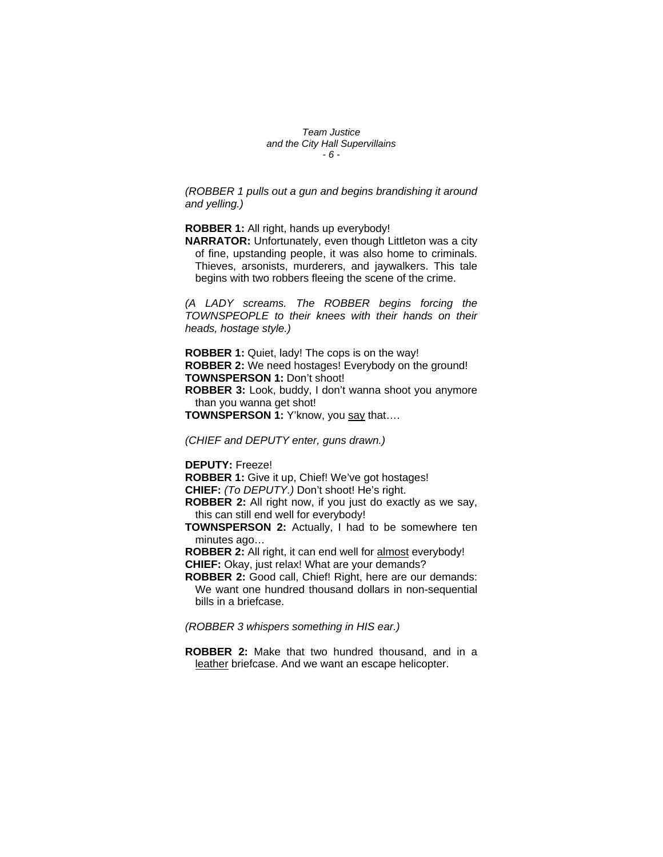*Team Justice and the City Hall Supervillains - 6 -* 

*(ROBBER 1 pulls out a gun and begins brandishing it around and yelling.)* 

**ROBBER 1:** All right, hands up everybody!

**NARRATOR:** Unfortunately, even though Littleton was a city of fine, upstanding people, it was also home to criminals. Thieves, arsonists, murderers, and jaywalkers. This tale begins with two robbers fleeing the scene of the crime.

*(A LADY screams. The ROBBER begins forcing the TOWNSPEOPLE to their knees with their hands on their heads, hostage style.)* 

**ROBBER 1:** Quiet, lady! The cops is on the way! **ROBBER 2:** We need hostages! Everybody on the ground! **TOWNSPERSON 1:** Don't shoot! **ROBBER 3:** Look, buddy, I don't wanna shoot you anymore than you wanna get shot! **TOWNSPERSON 1:** Y'know, you say that....

*(CHIEF and DEPUTY enter, guns drawn.)* 

**DEPUTY:** Freeze!

**ROBBER 1:** Give it up, Chief! We've got hostages! **CHIEF:** *(To DEPUTY.)* Don't shoot! He's right.

**ROBBER 2:** All right now, if you just do exactly as we say, this can still end well for everybody!

**TOWNSPERSON 2:** Actually, I had to be somewhere ten minutes ago…

**ROBBER 2:** All right, it can end well for almost everybody! **CHIEF:** Okay, just relax! What are your demands?

**ROBBER 2:** Good call, Chief! Right, here are our demands: We want one hundred thousand dollars in non-sequential bills in a briefcase.

*(ROBBER 3 whispers something in HIS ear.)* 

**ROBBER 2:** Make that two hundred thousand, and in a leather briefcase. And we want an escape helicopter.